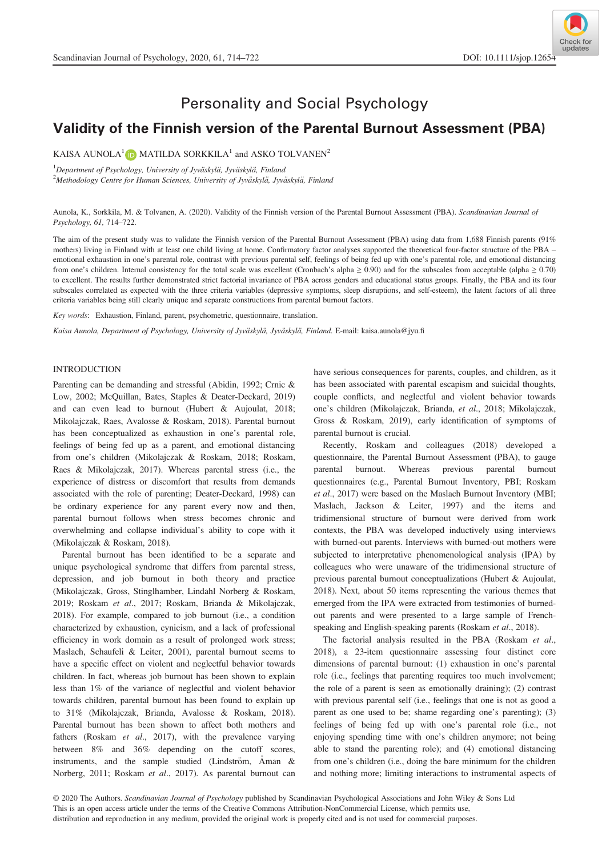# Personality and Social Psychology

# Validity of the Finnish version of the Parental Burnout Assessment (PBA)

KAISA AUNOLA<sup>1</sup> MATILDA SORKKILA<sup>1</sup> and ASKO TOLVANEN<sup>2</sup>

<sup>1</sup>Department of Psychology, University of Jyväskylä, Jyväskylä, Finland <sup>2</sup>Methodology Centre for Human Sciences, University of Jyväskylä, Jyväskylä, Finland

Aunola, K., Sorkkila, M. & Tolvanen, A. (2020). Validity of the Finnish version of the Parental Burnout Assessment (PBA). Scandinavian Journal of Psychology, 61, 714–722.

The aim of the present study was to validate the Finnish version of the Parental Burnout Assessment (PBA) using data from 1,688 Finnish parents (91% mothers) living in Finland with at least one child living at home. Confirmatory factor analyses supported the theoretical four-factor structure of the PBA – emotional exhaustion in one's parental role, contrast with previous parental self, feelings of being fed up with one's parental role, and emotional distancing from one's children. Internal consistency for the total scale was excellent (Cronbach's alpha ≥ 0.90) and for the subscales from acceptable (alpha ≥ 0.70) to excellent. The results further demonstrated strict factorial invariance of PBA across genders and educational status groups. Finally, the PBA and its four subscales correlated as expected with the three criteria variables (depressive symptoms, sleep disruptions, and self-esteem), the latent factors of all three criteria variables being still clearly unique and separate constructions from parental burnout factors.

Key words: Exhaustion, Finland, parent, psychometric, questionnaire, translation.

Kaisa Aunola, Department of Psychology, University of Jyväskylä, Jyväskylä, Finland. E-mail: [kaisa.aunola@jyu.](mailto:)fi

## INTRODUCTION

Parenting can be demanding and stressful (Abidin, 1992; Crnic & Low, 2002; McQuillan, Bates, Staples & Deater-Deckard, 2019) and can even lead to burnout (Hubert & Aujoulat, 2018; Mikolajczak, Raes, Avalosse & Roskam, 2018). Parental burnout has been conceptualized as exhaustion in one's parental role, feelings of being fed up as a parent, and emotional distancing from one's children (Mikolajczak & Roskam, 2018; Roskam, Raes & Mikolajczak, 2017). Whereas parental stress (i.e., the experience of distress or discomfort that results from demands associated with the role of parenting; Deater-Deckard, 1998) can be ordinary experience for any parent every now and then, parental burnout follows when stress becomes chronic and overwhelming and collapse individual's ability to cope with it (Mikolajczak & Roskam, 2018).

Parental burnout has been identified to be a separate and unique psychological syndrome that differs from parental stress, depression, and job burnout in both theory and practice (Mikolajczak, Gross, Stinglhamber, Lindahl Norberg & Roskam, 2019; Roskam et al., 2017; Roskam, Brianda & Mikolajczak, 2018). For example, compared to job burnout (i.e., a condition characterized by exhaustion, cynicism, and a lack of professional efficiency in work domain as a result of prolonged work stress; Maslach, Schaufeli & Leiter, 2001), parental burnout seems to have a specific effect on violent and neglectful behavior towards children. In fact, whereas job burnout has been shown to explain less than 1% of the variance of neglectful and violent behavior towards children, parental burnout has been found to explain up to 31% (Mikolajczak, Brianda, Avalosse & Roskam, 2018). Parental burnout has been shown to affect both mothers and fathers (Roskam et al., 2017), with the prevalence varying between 8% and 36% depending on the cutoff scores, instruments, and the sample studied (Lindström, Åman & Norberg, 2011; Roskam et al., 2017). As parental burnout can have serious consequences for parents, couples, and children, as it has been associated with parental escapism and suicidal thoughts, couple conflicts, and neglectful and violent behavior towards one's children (Mikolajczak, Brianda, et al., 2018; Mikolajczak, Gross & Roskam, 2019), early identification of symptoms of parental burnout is crucial.

Recently, Roskam and colleagues (2018) developed a questionnaire, the Parental Burnout Assessment (PBA), to gauge parental burnout. Whereas previous parental burnout questionnaires (e.g., Parental Burnout Inventory, PBI; Roskam et al., 2017) were based on the Maslach Burnout Inventory (MBI; Maslach, Jackson & Leiter, 1997) and the items and tridimensional structure of burnout were derived from work contexts, the PBA was developed inductively using interviews with burned-out parents. Interviews with burned-out mothers were subjected to interpretative phenomenological analysis (IPA) by colleagues who were unaware of the tridimensional structure of previous parental burnout conceptualizations (Hubert & Aujoulat, 2018). Next, about 50 items representing the various themes that emerged from the IPA were extracted from testimonies of burnedout parents and were presented to a large sample of Frenchspeaking and English-speaking parents (Roskam et al., 2018).

The factorial analysis resulted in the PBA (Roskam et al., 2018), a 23-item questionnaire assessing four distinct core dimensions of parental burnout: (1) exhaustion in one's parental role (i.e., feelings that parenting requires too much involvement; the role of a parent is seen as emotionally draining); (2) contrast with previous parental self (i.e., feelings that one is not as good a parent as one used to be; shame regarding one's parenting); (3) feelings of being fed up with one's parental role (i.e., not enjoying spending time with one's children anymore; not being able to stand the parenting role); and (4) emotional distancing from one's children (i.e., doing the bare minimum for the children and nothing more; limiting interactions to instrumental aspects of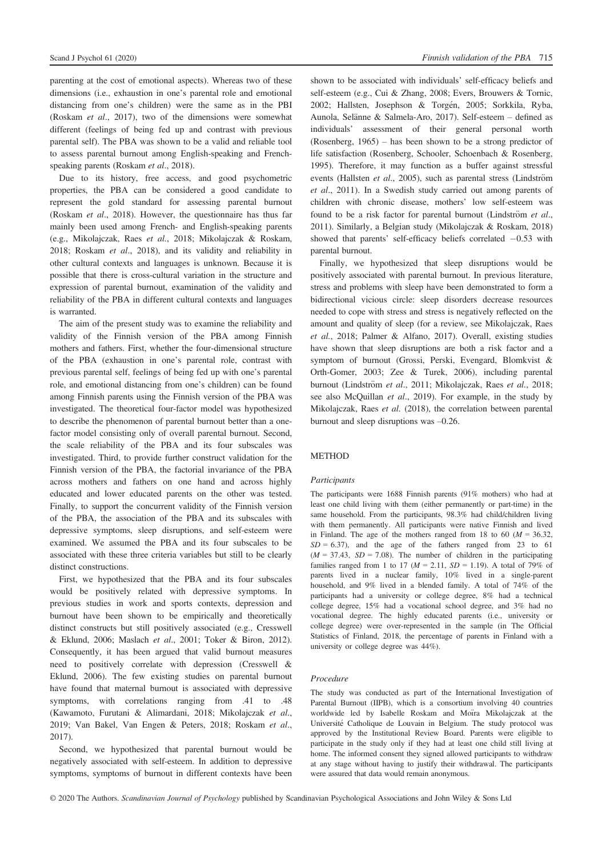parenting at the cost of emotional aspects). Whereas two of these dimensions (i.e., exhaustion in one's parental role and emotional distancing from one's children) were the same as in the PBI (Roskam et al., 2017), two of the dimensions were somewhat different (feelings of being fed up and contrast with previous parental self). The PBA was shown to be a valid and reliable tool to assess parental burnout among English-speaking and Frenchspeaking parents (Roskam et al., 2018).

Due to its history, free access, and good psychometric properties, the PBA can be considered a good candidate to represent the gold standard for assessing parental burnout (Roskam et al., 2018). However, the questionnaire has thus far mainly been used among French- and English-speaking parents (e.g., Mikolajczak, Raes et al., 2018; Mikolajczak & Roskam, 2018; Roskam et al., 2018), and its validity and reliability in other cultural contexts and languages is unknown. Because it is possible that there is cross-cultural variation in the structure and expression of parental burnout, examination of the validity and reliability of the PBA in different cultural contexts and languages is warranted.

The aim of the present study was to examine the reliability and validity of the Finnish version of the PBA among Finnish mothers and fathers. First, whether the four-dimensional structure of the PBA (exhaustion in one's parental role, contrast with previous parental self, feelings of being fed up with one's parental role, and emotional distancing from one's children) can be found among Finnish parents using the Finnish version of the PBA was investigated. The theoretical four-factor model was hypothesized to describe the phenomenon of parental burnout better than a onefactor model consisting only of overall parental burnout. Second, the scale reliability of the PBA and its four subscales was investigated. Third, to provide further construct validation for the Finnish version of the PBA, the factorial invariance of the PBA across mothers and fathers on one hand and across highly educated and lower educated parents on the other was tested. Finally, to support the concurrent validity of the Finnish version of the PBA, the association of the PBA and its subscales with depressive symptoms, sleep disruptions, and self-esteem were examined. We assumed the PBA and its four subscales to be associated with these three criteria variables but still to be clearly distinct constructions.

First, we hypothesized that the PBA and its four subscales would be positively related with depressive symptoms. In previous studies in work and sports contexts, depression and burnout have been shown to be empirically and theoretically distinct constructs but still positively associated (e.g., Cresswell & Eklund, 2006; Maslach et al., 2001; Toker & Biron, 2012). Consequently, it has been argued that valid burnout measures need to positively correlate with depression (Cresswell & Eklund, 2006). The few existing studies on parental burnout have found that maternal burnout is associated with depressive symptoms, with correlations ranging from .41 to .48 (Kawamoto, Furutani & Alimardani, 2018; Mikolajczak et al., 2019; Van Bakel, Van Engen & Peters, 2018; Roskam et al., 2017).

Second, we hypothesized that parental burnout would be negatively associated with self-esteem. In addition to depressive symptoms, symptoms of burnout in different contexts have been shown to be associated with individuals' self-efficacy beliefs and self-esteem (e.g., Cui & Zhang, 2008; Evers, Brouwers & Tornic, 2002; Hallsten, Josephson & Torgen, 2005; Sorkkila, Ryba, Aunola, Selänne & Salmela-Aro, 2017). Self-esteem – defined as individuals' assessment of their general personal worth (Rosenberg, 1965) – has been shown to be a strong predictor of life satisfaction (Rosenberg, Schooler, Schoenbach & Rosenberg, 1995). Therefore, it may function as a buffer against stressful events (Hallsten et al., 2005), such as parental stress (Lindström et al., 2011). In a Swedish study carried out among parents of children with chronic disease, mothers' low self-esteem was found to be a risk factor for parental burnout (Lindström  $et$   $al$ ., 2011). Similarly, a Belgian study (Mikolajczak & Roskam, 2018) showed that parents' self-efficacy beliefs correlated  $-0.53$  with parental burnout.

Finally, we hypothesized that sleep disruptions would be positively associated with parental burnout. In previous literature, stress and problems with sleep have been demonstrated to form a bidirectional vicious circle: sleep disorders decrease resources needed to cope with stress and stress is negatively reflected on the amount and quality of sleep (for a review, see Mikolajczak, Raes et al., 2018; Palmer & Alfano, 2017). Overall, existing studies have shown that sleep disruptions are both a risk factor and a symptom of burnout (Grossi, Perski, Evengard, Blomkvist & Orth-Gomer, 2003; Zee & Turek, 2006), including parental burnout (Lindström et al., 2011; Mikolajczak, Raes et al., 2018; see also McQuillan *et al.*, 2019). For example, in the study by Mikolajczak, Raes et al. (2018), the correlation between parental burnout and sleep disruptions was –0.26.

#### **METHOD**

#### **Participants**

The participants were 1688 Finnish parents (91% mothers) who had at least one child living with them (either permanently or part-time) in the same household. From the participants, 98.3% had child/children living with them permanently. All participants were native Finnish and lived in Finland. The age of the mothers ranged from 18 to 60 ( $M = 36.32$ ,  $SD = 6.37$ , and the age of the fathers ranged from 23 to 61  $(M = 37.43, SD = 7.08)$ . The number of children in the participating families ranged from 1 to 17 ( $M = 2.11$ ,  $SD = 1.19$ ). A total of 79% of parents lived in a nuclear family, 10% lived in a single-parent household, and 9% lived in a blended family. A total of 74% of the participants had a university or college degree, 8% had a technical college degree, 15% had a vocational school degree, and 3% had no vocational degree. The highly educated parents (i.e., university or college degree) were over-represented in the sample (in The Official Statistics of Finland, 2018, the percentage of parents in Finland with a university or college degree was 44%).

## Procedure

The study was conducted as part of the International Investigation of Parental Burnout (IIPB), which is a consortium involving 40 countries worldwide led by Isabelle Roskam and Moïra Mikolajczak at the Universite Catholique de Louvain in Belgium. The study protocol was approved by the Institutional Review Board. Parents were eligible to participate in the study only if they had at least one child still living at home. The informed consent they signed allowed participants to withdraw at any stage without having to justify their withdrawal. The participants were assured that data would remain anonymous.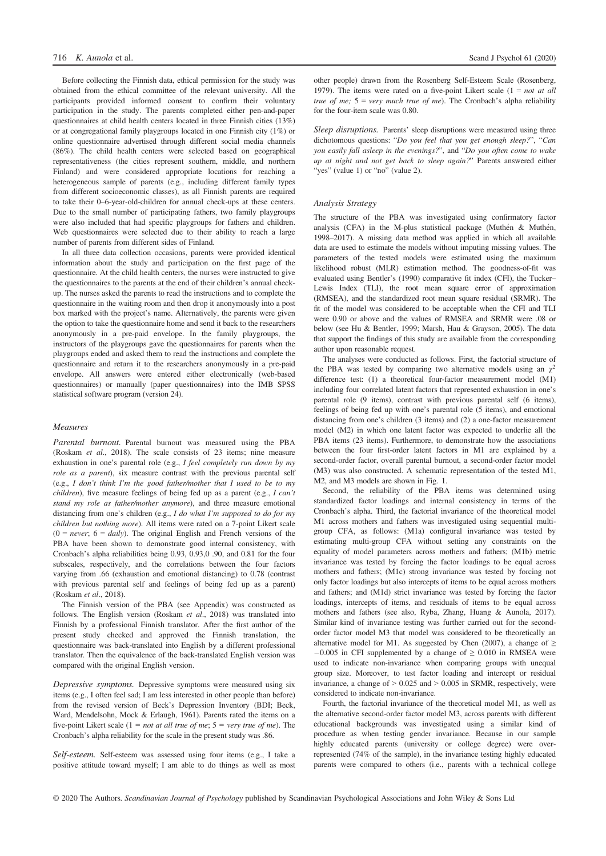Before collecting the Finnish data, ethical permission for the study was obtained from the ethical committee of the relevant university. All the participants provided informed consent to confirm their voluntary participation in the study. The parents completed either pen-and-paper questionnaires at child health centers located in three Finnish cities (13%) or at congregational family playgroups located in one Finnish city (1%) or online questionnaire advertised through different social media channels (86%). The child health centers were selected based on geographical representativeness (the cities represent southern, middle, and northern Finland) and were considered appropriate locations for reaching a heterogeneous sample of parents (e.g., including different family types from different socioeconomic classes), as all Finnish parents are required to take their 0–6-year-old-children for annual check-ups at these centers. Due to the small number of participating fathers, two family playgroups were also included that had specific playgroups for fathers and children. Web questionnaires were selected due to their ability to reach a large number of parents from different sides of Finland.

In all three data collection occasions, parents were provided identical information about the study and participation on the first page of the questionnaire. At the child health centers, the nurses were instructed to give the questionnaires to the parents at the end of their children's annual checkup. The nurses asked the parents to read the instructions and to complete the questionnaire in the waiting room and then drop it anonymously into a post box marked with the project's name. Alternatively, the parents were given the option to take the questionnaire home and send it back to the researchers anonymously in a pre-paid envelope. In the family playgroups, the instructors of the playgroups gave the questionnaires for parents when the playgroups ended and asked them to read the instructions and complete the questionnaire and return it to the researchers anonymously in a pre-paid envelope. All answers were entered either electronically (web-based questionnaires) or manually (paper questionnaires) into the IMB SPSS statistical software program (version 24).

### Measures

Parental burnout. Parental burnout was measured using the PBA (Roskam et al., 2018). The scale consists of 23 items; nine measure exhaustion in one's parental role (e.g., I feel completely run down by my role as a parent), six measure contrast with the previous parental self (e.g., I don't think I'm the good father/mother that I used to be to my children), five measure feelings of being fed up as a parent (e.g.,  $I can't$ stand my role as father/mother anymore), and three measure emotional distancing from one's children (e.g., I do what I'm supposed to do for my children but nothing more). All items were rated on a 7-point Likert scale  $(0 = never, 6 = daily)$ . The original English and French versions of the PBA have been shown to demonstrate good internal consistency, with Cronbach's alpha reliabilities being 0.93, 0.93,0 .90, and 0.81 for the four subscales, respectively, and the correlations between the four factors varying from .66 (exhaustion and emotional distancing) to 0.78 (contrast with previous parental self and feelings of being fed up as a parent) (Roskam et al., 2018).

The Finnish version of the PBA (see Appendix) was constructed as follows. The English version (Roskam et al., 2018) was translated into Finnish by a professional Finnish translator. After the first author of the present study checked and approved the Finnish translation, the questionnaire was back-translated into English by a different professional translator. Then the equivalence of the back-translated English version was compared with the original English version.

Depressive symptoms. Depressive symptoms were measured using six items (e.g., I often feel sad; I am less interested in other people than before) from the revised version of Beck's Depression Inventory (BDI; Beck, Ward, Mendelsohn, Mock & Erlaugh, 1961). Parents rated the items on a five-point Likert scale (1 = *not at all true of me*;  $5$  = *very true of me*). The Cronbach's alpha reliability for the scale in the present study was .86.

Self-esteem. Self-esteem was assessed using four items (e.g., I take a positive attitude toward myself; I am able to do things as well as most other people) drawn from the Rosenberg Self-Esteem Scale (Rosenberg, 1979). The items were rated on a five-point Likert scale  $(1 = not at all$ true of me;  $5 = very$  much true of me). The Cronbach's alpha reliability for the four-item scale was 0.80.

Sleep disruptions. Parents' sleep disruptions were measured using three dichotomous questions: "Do you feel that you get enough sleep?", "Can you easily fall asleep in the evenings?", and "Do you often come to wake up at night and not get back to sleep again?" Parents answered either "yes" (value 1) or "no" (value 2).

#### Analysis Strategy

The structure of the PBA was investigated using confirmatory factor analysis (CFA) in the M-plus statistical package (Muthén & Muthén, 1998–2017). A missing data method was applied in which all available data are used to estimate the models without imputing missing values. The parameters of the tested models were estimated using the maximum likelihood robust (MLR) estimation method. The goodness-of-fit was evaluated using Bentler's (1990) comparative fit index (CFI), the Tucker– Lewis Index (TLI), the root mean square error of approximation (RMSEA), and the standardized root mean square residual (SRMR). The fit of the model was considered to be acceptable when the CFI and TLI were 0.90 or above and the values of RMSEA and SRMR were .08 or below (see Hu & Bentler, 1999; Marsh, Hau & Grayson, 2005). The data that support the findings of this study are available from the corresponding author upon reasonable request.

The analyses were conducted as follows. First, the factorial structure of the PBA was tested by comparing two alternative models using an  $\gamma^2$ difference test: (1) a theoretical four-factor measurement model (M1) including four correlated latent factors that represented exhaustion in one's parental role (9 items), contrast with previous parental self (6 items), feelings of being fed up with one's parental role (5 items), and emotional distancing from one's children (3 items) and (2) a one-factor measurement model (M2) in which one latent factor was expected to underlie all the PBA items (23 items). Furthermore, to demonstrate how the associations between the four first-order latent factors in M1 are explained by a second-order factor, overall parental burnout, a second-order factor model (M3) was also constructed. A schematic representation of the tested M1, M<sub>2</sub>, and M<sub>3</sub> models are shown in Fig. 1.

Second, the reliability of the PBA items was determined using standardized factor loadings and internal consistency in terms of the Cronbach's alpha. Third, the factorial invariance of the theoretical model M1 across mothers and fathers was investigated using sequential multigroup CFA, as follows: (M1a) configural invariance was tested by estimating multi-group CFA without setting any constraints on the equality of model parameters across mothers and fathers; (M1b) metric invariance was tested by forcing the factor loadings to be equal across mothers and fathers; (M1c) strong invariance was tested by forcing not only factor loadings but also intercepts of items to be equal across mothers and fathers; and (M1d) strict invariance was tested by forcing the factor loadings, intercepts of items, and residuals of items to be equal across mothers and fathers (see also, Ryba, Zhang, Huang & Aunola, 2017). Similar kind of invariance testing was further carried out for the secondorder factor model M3 that model was considered to be theoretically an alternative model for M1. As suggested by Chen (2007), a change of  $\geq$  $-0.005$  in CFI supplemented by a change of  $\geq 0.010$  in RMSEA were used to indicate non-invariance when comparing groups with unequal group size. Moreover, to test factor loading and intercept or residual invariance, a change of  $> 0.025$  and  $> 0.005$  in SRMR, respectively, were considered to indicate non-invariance.

Fourth, the factorial invariance of the theoretical model M1, as well as the alternative second-order factor model M3, across parents with different educational backgrounds was investigated using a similar kind of procedure as when testing gender invariance. Because in our sample highly educated parents (university or college degree) were overrepresented (74% of the sample), in the invariance testing highly educated parents were compared to others (i.e., parents with a technical college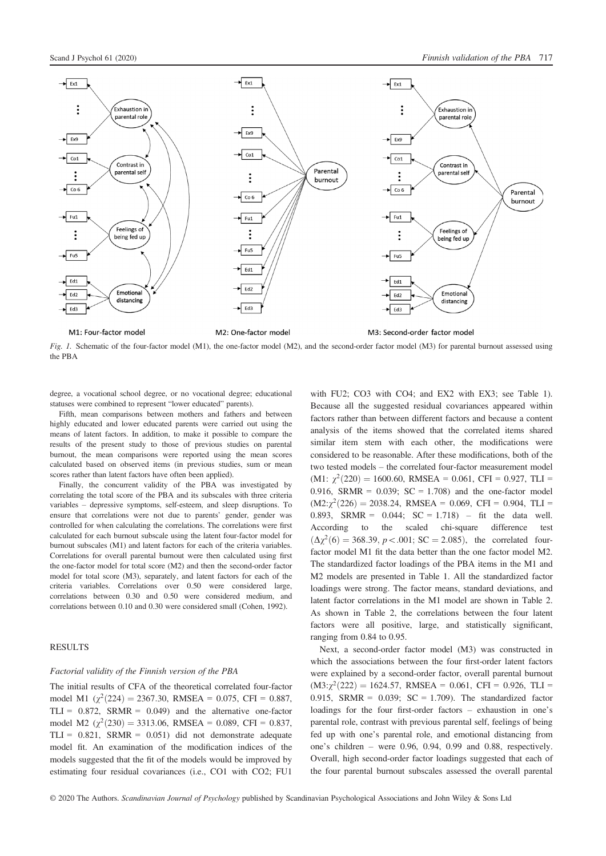

Fig. 1. Schematic of the four-factor model (M1), the one-factor model (M2), and the second-order factor model (M3) for parental burnout assessed using the PBA

degree, a vocational school degree, or no vocational degree; educational statuses were combined to represent "lower educated" parents).

Fifth, mean comparisons between mothers and fathers and between highly educated and lower educated parents were carried out using the means of latent factors. In addition, to make it possible to compare the results of the present study to those of previous studies on parental burnout, the mean comparisons were reported using the mean scores calculated based on observed items (in previous studies, sum or mean scores rather than latent factors have often been applied).

Finally, the concurrent validity of the PBA was investigated by correlating the total score of the PBA and its subscales with three criteria variables – depressive symptoms, self-esteem, and sleep disruptions. To ensure that correlations were not due to parents' gender, gender was controlled for when calculating the correlations. The correlations were first calculated for each burnout subscale using the latent four-factor model for burnout subscales (M1) and latent factors for each of the criteria variables. Correlations for overall parental burnout were then calculated using first the one-factor model for total score (M2) and then the second-order factor model for total score (M3), separately, and latent factors for each of the criteria variables. Correlations over 0.50 were considered large, correlations between 0.30 and 0.50 were considered medium, and correlations between 0.10 and 0.30 were considered small (Cohen, 1992).

#### RESULTS

## Factorial validity of the Finnish version of the PBA

The initial results of CFA of the theoretical correlated four-factor model M1 ( $\chi^2$ (224) = 2367.30, RMSEA = 0.075, CFI = 0.887, TLI =  $0.872$ , SRMR =  $0.049$ ) and the alternative one-factor model M2  $(\chi^2(230) = 3313.06, RMSEA = 0.089, CFI = 0.837,$  $TLI = 0.821$ ,  $SRMR = 0.051$  did not demonstrate adequate model fit. An examination of the modification indices of the models suggested that the fit of the models would be improved by estimating four residual covariances (i.e., CO1 with CO2; FU1

with FU2; CO3 with CO4; and EX2 with EX3; see Table 1). Because all the suggested residual covariances appeared within factors rather than between different factors and because a content analysis of the items showed that the correlated items shared similar item stem with each other, the modifications were considered to be reasonable. After these modifications, both of the two tested models – the correlated four-factor measurement model  $(M1: \gamma^2(220) = 1600.60, RMSEA = 0.061, CFI = 0.927, TLI =$ 0.916, SRMR =  $0.039$ ; SC = 1.708) and the one-factor model  $(M2:\gamma^2(226) = 2038.24$ , RMSEA = 0.069, CFI = 0.904, TLI = 0.893, SRMR =  $0.044$ ; SC = 1.718) – fit the data well. According to the scaled chi-square difference test  $(\Delta \chi^2(6) = 368.39, p < .001; SC = 2.085)$ , the correlated fourfactor model M1 fit the data better than the one factor model M2. The standardized factor loadings of the PBA items in the M1 and M2 models are presented in Table 1. All the standardized factor loadings were strong. The factor means, standard deviations, and latent factor correlations in the M1 model are shown in Table 2. As shown in Table 2, the correlations between the four latent factors were all positive, large, and statistically significant, ranging from 0.84 to 0.95.

Next, a second-order factor model (M3) was constructed in which the associations between the four first-order latent factors were explained by a second-order factor, overall parental burnout  $(M3:\chi^2(222) = 1624.57$ , RMSEA = 0.061, CFI = 0.926, TLI = 0.915, SRMR =  $0.039$ ; SC = 1.709). The standardized factor loadings for the four first-order factors – exhaustion in one's parental role, contrast with previous parental self, feelings of being fed up with one's parental role, and emotional distancing from one's children – were 0.96, 0.94, 0.99 and 0.88, respectively. Overall, high second-order factor loadings suggested that each of the four parental burnout subscales assessed the overall parental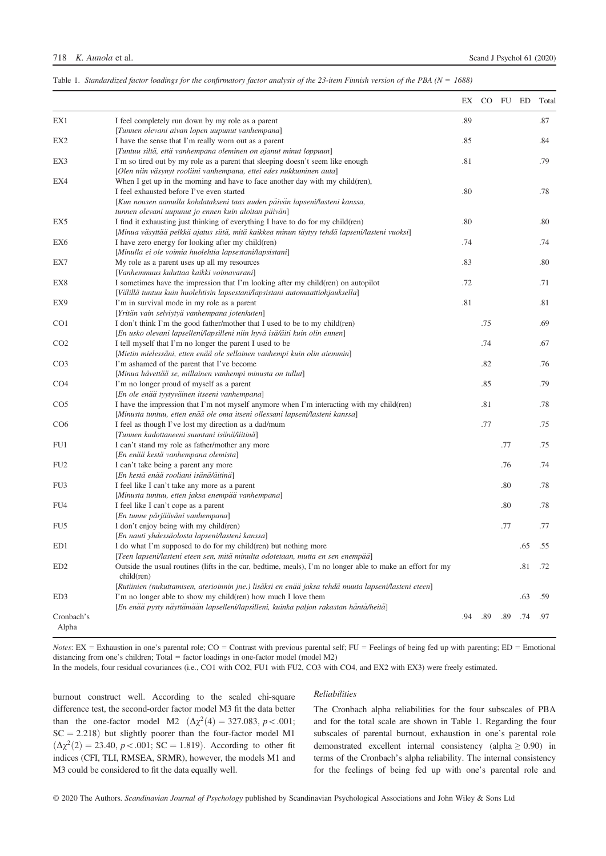| Table 1. Standardized factor loadings for the confirmatory factor analysis of the 23-item Finnish version of the PBA ( $N = 1688$ ) |  |
|-------------------------------------------------------------------------------------------------------------------------------------|--|
|-------------------------------------------------------------------------------------------------------------------------------------|--|

|                             |                                                                                                            |     | EX CO FU ED |     |     | Total |
|-----------------------------|------------------------------------------------------------------------------------------------------------|-----|-------------|-----|-----|-------|
| EX1                         | I feel completely run down by my role as a parent                                                          | .89 |             |     |     | .87   |
|                             | [Tunnen olevani aivan lopen uupunut vanhempana]                                                            |     |             |     |     |       |
| EX2                         | I have the sense that I'm really worn out as a parent                                                      | .85 |             |     |     | .84   |
|                             | [Tuntuu siltä, että vanhempana oleminen on ajanut minut loppuun]                                           |     |             |     |     |       |
| EX3                         | I'm so tired out by my role as a parent that sleeping doesn't seem like enough                             | .81 |             |     |     | .79   |
|                             | [Olen niin väsynyt rooliini vanhempana, ettei edes nukkuminen auta]                                        |     |             |     |     |       |
| EX4                         | When I get up in the morning and have to face another day with my child(ren),                              |     |             |     |     |       |
|                             | I feel exhausted before I've even started                                                                  | .80 |             |     |     | .78   |
|                             | [Kun nousen aamulla kohdatakseni taas uuden päivän lapseni/lasteni kanssa,                                 |     |             |     |     |       |
|                             | tunnen olevani uupunut jo ennen kuin aloitan päivän]                                                       |     |             |     |     |       |
| EX5                         | I find it exhausting just thinking of everything I have to do for my child(ren)                            | .80 |             |     |     | .80   |
|                             | [Minua väsyttää pelkkä ajatus siitä, mitä kaikkea minun täytyy tehdä lapseni/lasteni vuoksi]               |     |             |     |     |       |
| EX6                         | I have zero energy for looking after my child(ren)                                                         | .74 |             |     |     | .74   |
|                             | [Minulla ei ole voimia huolehtia lapsestani/lapsistani]                                                    |     |             |     |     |       |
| EX7                         | My role as a parent uses up all my resources                                                               | .83 |             |     |     | .80   |
|                             | [Vanhemmuus kuluttaa kaikki voimavarani]                                                                   |     |             |     |     |       |
| EX8                         | I sometimes have the impression that I'm looking after my child(ren) on autopilot                          | .72 |             |     |     | .71   |
|                             | [Välillä tuntuu kuin huolehtisin lapsestani/lapsistani automaattiohjauksella]                              |     |             |     |     |       |
| EX9                         | I'm in survival mode in my role as a parent                                                                | .81 |             |     |     | .81   |
|                             | [Yritän vain selviytyä vanhempana jotenkuten]                                                              |     |             |     |     |       |
| CO <sub>1</sub>             | I don't think I'm the good father/mother that I used to be to my child(ren)                                |     | .75         |     |     | .69   |
|                             | [En usko olevani lapselleni/lapsilleni niin hyvä isä/äiti kuin olin ennen]                                 |     |             |     |     |       |
| CO <sub>2</sub>             | I tell myself that I'm no longer the parent I used to be                                                   |     | .74         |     |     | .67   |
|                             | [Mietin mielessäni, etten enää ole sellainen vanhempi kuin olin aiemmin]                                   |     |             |     |     |       |
| CO <sub>3</sub>             | I'm ashamed of the parent that I've become                                                                 |     | .82         |     |     | .76   |
|                             | [Minua hävettää se, millainen vanhempi minusta on tullut]                                                  |     |             |     |     |       |
| CO <sub>4</sub>             | I'm no longer proud of myself as a parent                                                                  |     | .85         |     |     | .79   |
|                             | [En ole enää tyytyväinen itseeni vanhempana]                                                               |     |             |     |     |       |
| CO <sub>5</sub>             | I have the impression that I'm not myself anymore when I'm interacting with my child(ren)                  |     | .81         |     |     | .78   |
|                             | [Minusta tuntuu, etten enää ole oma itseni ollessani lapseni/lasteni kanssa]                               |     |             |     |     |       |
| C <sub>O</sub> <sub>6</sub> | I feel as though I've lost my direction as a dad/mum                                                       |     | .77         |     |     | .75   |
|                             | [Tunnen kadottaneeni suuntani isänä/äitinä]                                                                |     |             |     |     |       |
| FU1                         | I can't stand my role as father/mother any more                                                            |     |             | .77 |     | .75   |
|                             | [En enää kestä vanhempana olemista]                                                                        |     |             |     |     |       |
| FU <sub>2</sub>             | I can't take being a parent any more                                                                       |     |             | .76 |     | .74   |
|                             | [En kestä enää rooliani isänä/äitinä]                                                                      |     |             |     |     |       |
| FU <sub>3</sub>             | I feel like I can't take any more as a parent                                                              |     |             | .80 |     | .78   |
|                             | [Minusta tuntuu, etten jaksa enempää vanhempana]                                                           |     |             |     |     |       |
| FU4                         | I feel like I can't cope as a parent                                                                       |     |             | .80 |     | .78   |
|                             | [En tunne pärjääväni vanhempana]                                                                           |     |             |     |     |       |
| FU <sub>5</sub>             | I don't enjoy being with my child(ren)                                                                     |     |             | .77 |     | .77   |
|                             | [En nauti yhdessäolosta lapseni/lasteni kanssa]                                                            |     |             |     |     |       |
| ED1                         | I do what I'm supposed to do for my child(ren) but nothing more                                            |     |             |     | .65 | .55   |
|                             | [Teen lapseni/lasteni eteen sen, mitä minulta odotetaan, mutta en sen enempää]                             |     |             |     |     |       |
| ED <sub>2</sub>             | Outside the usual routines (lifts in the car, bedtime, meals), I'm no longer able to make an effort for my |     |             |     | .81 | .72   |
|                             | child(ren)                                                                                                 |     |             |     |     |       |
|                             | [Rutiinien (nukuttamisen, aterioinnin jne.) lisäksi en enää jaksa tehdä muuta lapseni/lasteni eteen]       |     |             |     |     |       |
| ED <sub>3</sub>             | I'm no longer able to show my child(ren) how much I love them                                              |     |             |     | .63 | .59   |
|                             | [En enää pysty näyttämään lapselleni/lapsilleni, kuinka paljon rakastan häntä/heitä]                       |     |             |     |     |       |
| Cronbach's                  |                                                                                                            | .94 | .89         | .89 | .74 | .97   |
| Alpha                       |                                                                                                            |     |             |     |     |       |

Notes:  $EX =$  Exhaustion in one's parental role;  $CO =$  Contrast with previous parental self;  $FU =$  Feelings of being fed up with parenting;  $ED =$  Emotional distancing from one's children; Total = factor loadings in one-factor model (model M2)

In the models, four residual covariances (i.e., CO1 with CO2, FU1 with FU2, CO3 with CO4, and EX2 with EX3) were freely estimated.

burnout construct well. According to the scaled chi-square difference test, the second-order factor model M3 fit the data better than the one-factor model M2  $(\Delta \chi^2/4) = 327.083$ ,  $p < .001$ ;  $SC = 2.218$ ) but slightly poorer than the four-factor model M1  $(\Delta \chi^2(2) = 23.40, p < .001;$  SC = 1.819). According to other fit indices (CFI, TLI, RMSEA, SRMR), however, the models M1 and M3 could be considered to fit the data equally well.

# Reliabilities

The Cronbach alpha reliabilities for the four subscales of PBA and for the total scale are shown in Table 1. Regarding the four subscales of parental burnout, exhaustion in one's parental role demonstrated excellent internal consistency (alpha  $\geq 0.90$ ) in terms of the Cronbach's alpha reliability. The internal consistency for the feelings of being fed up with one's parental role and

© 2020 The Authors. Scandinavian Journal of Psychology published by Scandinavian Psychological Associations and John Wiley & Sons Ltd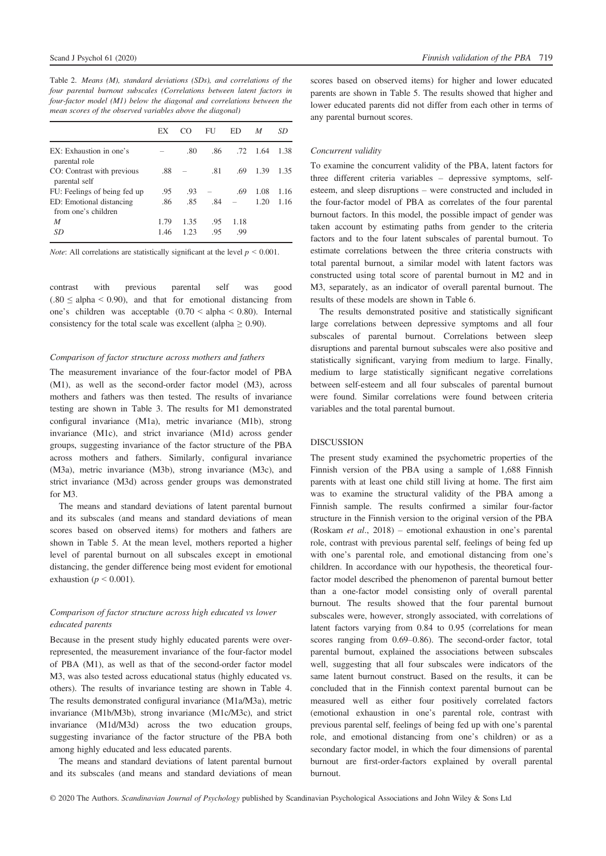Table 2. Means (M), standard deviations (SDs), and correlations of the four parental burnout subscales (Correlations between latent factors in four-factor model (M1) below the diagonal and correlations between the mean scores of the observed variables above the diagonal)

|                                                 | EX   | ന    | FU  | ED   | М      | SD   |
|-------------------------------------------------|------|------|-----|------|--------|------|
| EX: Exhaustion in one's<br>parental role        |      | .80  | .86 | .72  | - 1.64 | 1.38 |
| CO: Contrast with previous<br>parental self     | .88  |      | .81 | .69  | 1.39   | 1.35 |
| FU: Feelings of being fed up                    | .95  | .93  |     | .69  | 1.08   | 1.16 |
| ED: Emotional distancing<br>from one's children | .86  | .85  | .84 |      | 1.20   | 1.16 |
| M                                               | 1.79 | 1.35 | .95 | 1.18 |        |      |
| SD                                              | 1.46 | 1.23 | .95 | .99  |        |      |

*Note:* All correlations are statistically significant at the level  $p < 0.001$ .

contrast with previous parental self was good  $(.80 \leq$  alpha  $< 0.90$ ), and that for emotional distancing from one's children was acceptable (0.70 < alpha < 0.80). Internal consistency for the total scale was excellent (alpha  $\geq 0.90$ ).

### Comparison of factor structure across mothers and fathers

The measurement invariance of the four-factor model of PBA (M1), as well as the second-order factor model (M3), across mothers and fathers was then tested. The results of invariance testing are shown in Table 3. The results for M1 demonstrated configural invariance (M1a), metric invariance (M1b), strong invariance (M1c), and strict invariance (M1d) across gender groups, suggesting invariance of the factor structure of the PBA across mothers and fathers. Similarly, configural invariance (M3a), metric invariance (M3b), strong invariance (M3c), and strict invariance (M3d) across gender groups was demonstrated for M3.

The means and standard deviations of latent parental burnout and its subscales (and means and standard deviations of mean scores based on observed items) for mothers and fathers are shown in Table 5. At the mean level, mothers reported a higher level of parental burnout on all subscales except in emotional distancing, the gender difference being most evident for emotional exhaustion ( $p \le 0.001$ ).

# Comparison of factor structure across high educated vs lower educated parents

Because in the present study highly educated parents were overrepresented, the measurement invariance of the four-factor model of PBA (M1), as well as that of the second-order factor model M3, was also tested across educational status (highly educated vs. others). The results of invariance testing are shown in Table 4. The results demonstrated configural invariance (M1a/M3a), metric invariance (M1b/M3b), strong invariance (M1c/M3c), and strict invariance (M1d/M3d) across the two education groups, suggesting invariance of the factor structure of the PBA both among highly educated and less educated parents.

The means and standard deviations of latent parental burnout and its subscales (and means and standard deviations of mean

scores based on observed items) for higher and lower educated parents are shown in Table 5. The results showed that higher and lower educated parents did not differ from each other in terms of any parental burnout scores.

### Concurrent validity

To examine the concurrent validity of the PBA, latent factors for three different criteria variables – depressive symptoms, selfesteem, and sleep disruptions – were constructed and included in the four-factor model of PBA as correlates of the four parental burnout factors. In this model, the possible impact of gender was taken account by estimating paths from gender to the criteria factors and to the four latent subscales of parental burnout. To estimate correlations between the three criteria constructs with total parental burnout, a similar model with latent factors was constructed using total score of parental burnout in M2 and in M3, separately, as an indicator of overall parental burnout. The results of these models are shown in Table 6.

The results demonstrated positive and statistically significant large correlations between depressive symptoms and all four subscales of parental burnout. Correlations between sleep disruptions and parental burnout subscales were also positive and statistically significant, varying from medium to large. Finally, medium to large statistically significant negative correlations between self-esteem and all four subscales of parental burnout were found. Similar correlations were found between criteria variables and the total parental burnout.

#### **DISCUSSION**

The present study examined the psychometric properties of the Finnish version of the PBA using a sample of 1,688 Finnish parents with at least one child still living at home. The first aim was to examine the structural validity of the PBA among a Finnish sample. The results confirmed a similar four-factor structure in the Finnish version to the original version of the PBA (Roskam et al., 2018) – emotional exhaustion in one's parental role, contrast with previous parental self, feelings of being fed up with one's parental role, and emotional distancing from one's children. In accordance with our hypothesis, the theoretical fourfactor model described the phenomenon of parental burnout better than a one-factor model consisting only of overall parental burnout. The results showed that the four parental burnout subscales were, however, strongly associated, with correlations of latent factors varying from 0.84 to 0.95 (correlations for mean scores ranging from 0.69–0.86). The second-order factor, total parental burnout, explained the associations between subscales well, suggesting that all four subscales were indicators of the same latent burnout construct. Based on the results, it can be concluded that in the Finnish context parental burnout can be measured well as either four positively correlated factors (emotional exhaustion in one's parental role, contrast with previous parental self, feelings of being fed up with one's parental role, and emotional distancing from one's children) or as a secondary factor model, in which the four dimensions of parental burnout are first-order-factors explained by overall parental burnout.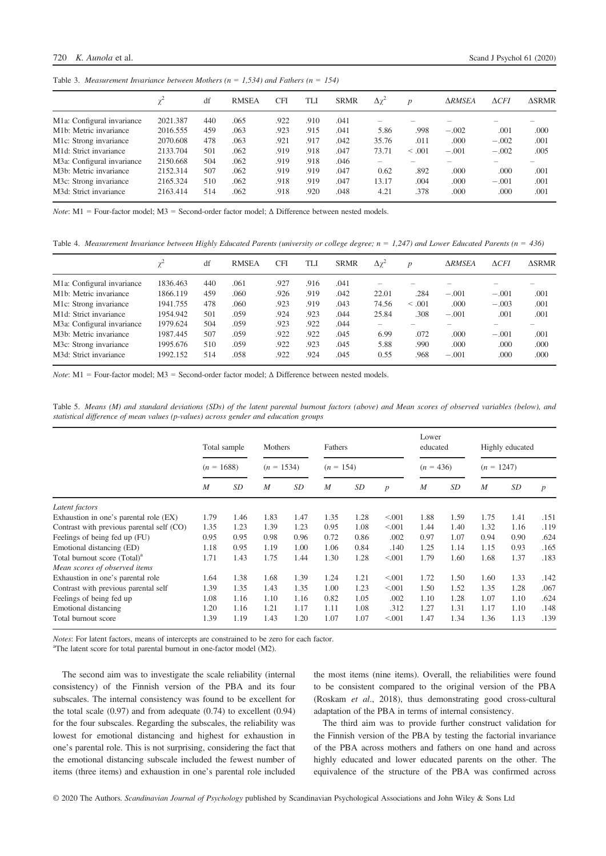|  | Table 3. Measurement Invariance between Mothers ( $n = 1.534$ ) and Fathers ( $n = 154$ ) |  |  |  |  |  |  |  |  |  |  |
|--|-------------------------------------------------------------------------------------------|--|--|--|--|--|--|--|--|--|--|
|--|-------------------------------------------------------------------------------------------|--|--|--|--|--|--|--|--|--|--|

|                                         | $\gamma^2$ | df  | <b>RMSEA</b> | <b>CFI</b> | TLI  | <b>SRMR</b> | $\Delta\gamma^2$ |         | <b>ARMSEA</b> | $\Delta$ CFI | $\triangle$ SRMR |
|-----------------------------------------|------------|-----|--------------|------------|------|-------------|------------------|---------|---------------|--------------|------------------|
| M <sub>1</sub> a: Configural invariance | 2021.387   | 440 | .065         | .922       | .910 | .041        |                  |         |               |              |                  |
| M <sub>1</sub> b: Metric invariance     | 2016.555   | 459 | .063         | .923       | .915 | .041        | 5.86             | .998    | $-.002$       | .001         | .000             |
| M <sub>1</sub> c: Strong invariance     | 2070.608   | 478 | .063         | .921       | .917 | .042        | 35.76            | .011    | .000          | $-.002$      | .001             |
| M1d: Strict invariance                  | 2133.704   | 501 | .062         | .919       | .918 | .047        | 73.71            | < 0.001 | $-.001$       | $-.002$      | .005             |
| M <sub>3</sub> a: Configural invariance | 2150.668   | 504 | .062         | .919       | .918 | .046        |                  |         |               |              |                  |
| M <sub>3</sub> b: Metric invariance     | 2152.314   | 507 | .062         | .919       | .919 | .047        | 0.62             | .892    | .000          | .000         | .001             |
| M3c: Strong invariance                  | 2165.324   | 510 | .062         | .918       | .919 | .047        | 13.17            | .004    | .000          | $-.001$      | .001             |
| M3d: Strict invariance                  | 2163.414   | 514 | .062         | .918       | .920 | .048        | 4.21             | .378    | .000          | .000         | .001             |

 $Note: M1 = Four-factor model: M3 = Second-order factor model: \Delta Difference between nested models.$ 

Table 4. Measurement Invariance between Highly Educated Parents (university or college degree;  $n = 1,247$ ) and Lower Educated Parents ( $n = 436$ )

|                                         | χ        | df  | <b>RMSEA</b> | <b>CFI</b> | TLI  | <b>SRMR</b> | $\Delta\gamma^2$ |        | <b>ARMSEA</b> | $\Delta CFI$ | $\triangle$ SRMR |
|-----------------------------------------|----------|-----|--------------|------------|------|-------------|------------------|--------|---------------|--------------|------------------|
| M <sub>1</sub> a: Configural invariance | 1836.463 | 440 | .061         | .927       | .916 | .041        |                  |        |               |              |                  |
| M1b: Metric invariance                  | 1866.119 | 459 | .060         | .926       | .919 | .042        | 22.01            | .284   | $-.001$       | $-.001$      | .001             |
| M <sub>1</sub> c: Strong invariance     | 1941.755 | 478 | .060         | .923       | .919 | .043        | 74.56            | < 0.01 | .000          | $-.003$      | .001             |
| M1d: Strict invariance                  | 1954.942 | 501 | .059         | .924       | .923 | .044        | 25.84            | .308   | $-.001$       | .001         | .001             |
| M <sub>3</sub> a: Configural invariance | 1979.624 | 504 | .059         | .923       | .922 | .044        |                  |        |               |              |                  |
| M <sub>3</sub> b: Metric invariance     | 1987.445 | 507 | .059         | .922       | .922 | .045        | 6.99             | .072   | .000          | $-.001$      | .001             |
| M <sub>3</sub> c: Strong invariance     | 1995.676 | 510 | .059         | .922       | .923 | .045        | 5.88             | .990   | .000          | .000         | .000             |
| M3d: Strict invariance                  | 1992.152 | 514 | .058         | .922       | .924 | .045        | 0.55             | .968   | $-.001$       | .000         | .000             |

 $Note: M1 = Four-factor model: M3 = Second-order factor model: A Difference between nested models.$ 

Table 5. Means (M) and standard deviations (SDs) of the latent parental burnout factors (above) and Mean scores of observed variables (below), and statistical difference of mean values (p-values) across gender and education groups

|                                           | Total sample<br>$(n = 1688)$ |      | Mothers          |           | Fathers          |      |                  | Lower<br>educated |      | Highly educated  |      |                  |  |
|-------------------------------------------|------------------------------|------|------------------|-----------|------------------|------|------------------|-------------------|------|------------------|------|------------------|--|
|                                           |                              |      | $(n = 1534)$     |           | $(n = 154)$      |      |                  | $(n = 436)$       |      | $(n = 1247)$     |      |                  |  |
|                                           | $\boldsymbol{M}$             | SD   | $\boldsymbol{M}$ | <b>SD</b> | $\boldsymbol{M}$ | SD   | $\boldsymbol{p}$ | $\boldsymbol{M}$  | SD   | $\boldsymbol{M}$ | SD   | $\boldsymbol{p}$ |  |
| Latent factors                            |                              |      |                  |           |                  |      |                  |                   |      |                  |      |                  |  |
| Exhaustion in one's parental role (EX)    | 1.79                         | 1.46 | 1.83             | 1.47      | 1.35             | 1.28 | < 0.001          | 1.88              | 1.59 | 1.75             | 1.41 | .151             |  |
| Contrast with previous parental self (CO) | 1.35                         | 1.23 | 1.39             | 1.23      | 0.95             | 1.08 | < 0.001          | 1.44              | 1.40 | 1.32             | 1.16 | .119             |  |
| Feelings of being fed up (FU)             | 0.95                         | 0.95 | 0.98             | 0.96      | 0.72             | 0.86 | .002             | 0.97              | 1.07 | 0.94             | 0.90 | .624             |  |
| Emotional distancing (ED)                 | 1.18                         | 0.95 | 1.19             | 1.00      | 1.06             | 0.84 | .140             | 1.25              | 1.14 | 1.15             | 0.93 | .165             |  |
| Total burnout score (Total) <sup>a</sup>  | 1.71                         | 1.43 | 1.75             | 1.44      | 1.30             | 1.28 | < 0.001          | 1.79              | 1.60 | 1.68             | 1.37 | .183             |  |
| Mean scores of observed items             |                              |      |                  |           |                  |      |                  |                   |      |                  |      |                  |  |
| Exhaustion in one's parental role         | 1.64                         | 1.38 | 1.68             | 1.39      | 1.24             | 1.21 | < 0.001          | 1.72              | 1.50 | 1.60             | 1.33 | .142             |  |
| Contrast with previous parental self      | 1.39                         | 1.35 | 1.43             | 1.35      | 1.00             | 1.23 | < 0.001          | 1.50              | 1.52 | 1.35             | 1.28 | .067             |  |
| Feelings of being fed up                  | 1.08                         | 1.16 | 1.10             | 1.16      | 0.82             | 1.05 | .002             | 1.10              | 1.28 | 1.07             | 1.10 | .624             |  |
| Emotional distancing                      | 1.20                         | 1.16 | 1.21             | 1.17      | 1.11             | 1.08 | .312             | 1.27              | 1.31 | 1.17             | 1.10 | .148             |  |
| Total burnout score                       | 1.39                         | 1.19 | 1.43             | 1.20      | 1.07             | 1.07 | < 0.001          | 1.47              | 1.34 | 1.36             | 1.13 | .139             |  |

Notes: For latent factors, means of intercepts are constrained to be zero for each factor.

<sup>a</sup>The latent score for total parental burnout in one-factor model (M2).

The second aim was to investigate the scale reliability (internal consistency) of the Finnish version of the PBA and its four subscales. The internal consistency was found to be excellent for the total scale  $(0.97)$  and from adequate  $(0.74)$  to excellent  $(0.94)$ for the four subscales. Regarding the subscales, the reliability was lowest for emotional distancing and highest for exhaustion in one's parental role. This is not surprising, considering the fact that the emotional distancing subscale included the fewest number of items (three items) and exhaustion in one's parental role included

the most items (nine items). Overall, the reliabilities were found to be consistent compared to the original version of the PBA (Roskam et al., 2018), thus demonstrating good cross-cultural adaptation of the PBA in terms of internal consistency.

The third aim was to provide further construct validation for the Finnish version of the PBA by testing the factorial invariance of the PBA across mothers and fathers on one hand and across highly educated and lower educated parents on the other. The equivalence of the structure of the PBA was confirmed across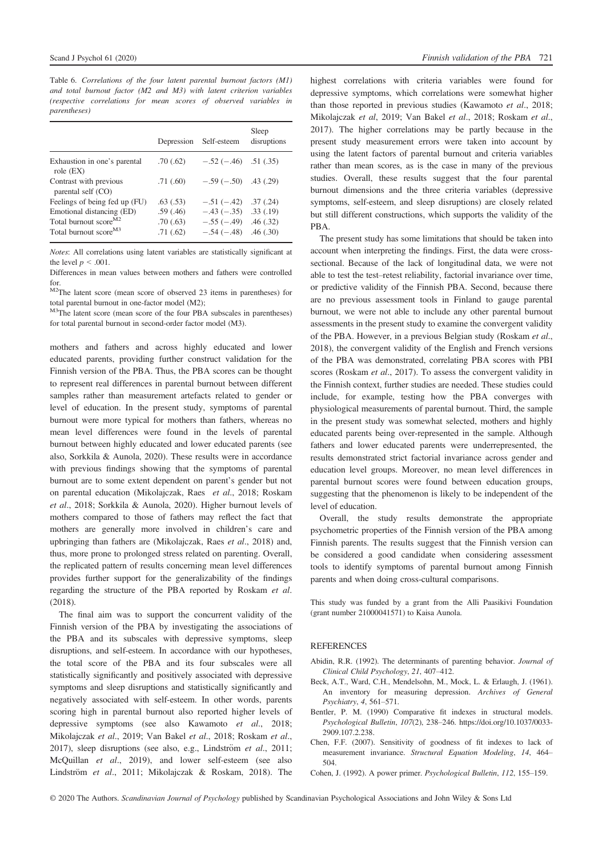Table 6. Correlations of the four latent parental burnout factors (M1) and total burnout factor (M2 and M3) with latent criterion variables (respective correlations for mean scores of observed variables in parentheses)

|                                              |          | Depression Self-esteem | Sleep<br>disruptions |
|----------------------------------------------|----------|------------------------|----------------------|
| Exhaustion in one's parental<br>role (EX)    | .70(62)  | $-.52(-.46)$ .51 (.35) |                      |
| Contrast with previous<br>parental self (CO) | .71(.60) | $-.59(-.50)$ .43 (.29) |                      |
| Feelings of being fed up (FU)                | .63(.53) | $-.51(-.42)$           | .37(.24)             |
| Emotional distancing (ED)                    | .59(.46) | $-.43(-.35)$           | .33(.19)             |
| Total burnout score <sup>M2</sup>            | .70(.63) | $-.55(-.49)$           | .46(.32)             |
| Total burnout score <sup>M3</sup>            | .71(.62) | $-.54(-.48)$           | .46(.30)             |

Notes: All correlations using latent variables are statistically significant at the level  $p < .001$ .

Differences in mean values between mothers and fathers were controlled for.

M<sup>2</sup>The latent score (mean score of observed 23 items in parentheses) for total parental burnout in one-factor model (M2);

M<sup>3</sup>The latent score (mean score of the four PBA subscales in parentheses) for total parental burnout in second-order factor model (M3).

mothers and fathers and across highly educated and lower educated parents, providing further construct validation for the Finnish version of the PBA. Thus, the PBA scores can be thought to represent real differences in parental burnout between different samples rather than measurement artefacts related to gender or level of education. In the present study, symptoms of parental burnout were more typical for mothers than fathers, whereas no mean level differences were found in the levels of parental burnout between highly educated and lower educated parents (see also, Sorkkila & Aunola, 2020). These results were in accordance with previous findings showing that the symptoms of parental burnout are to some extent dependent on parent's gender but not on parental education (Mikolajczak, Raes et al., 2018; Roskam et al., 2018; Sorkkila & Aunola, 2020). Higher burnout levels of mothers compared to those of fathers may reflect the fact that mothers are generally more involved in children's care and upbringing than fathers are (Mikolajczak, Raes et al., 2018) and, thus, more prone to prolonged stress related on parenting. Overall, the replicated pattern of results concerning mean level differences provides further support for the generalizability of the findings regarding the structure of the PBA reported by Roskam et al. (2018).

The final aim was to support the concurrent validity of the Finnish version of the PBA by investigating the associations of the PBA and its subscales with depressive symptoms, sleep disruptions, and self-esteem. In accordance with our hypotheses, the total score of the PBA and its four subscales were all statistically significantly and positively associated with depressive symptoms and sleep disruptions and statistically significantly and negatively associated with self-esteem. In other words, parents scoring high in parental burnout also reported higher levels of depressive symptoms (see also Kawamoto et al., 2018; Mikolajczak et al., 2019; Van Bakel et al., 2018; Roskam et al., 2017), sleep disruptions (see also, e.g., Lindström et al., 2011; McQuillan et al., 2019), and lower self-esteem (see also Lindström et al., 2011; Mikolajczak & Roskam, 2018). The highest correlations with criteria variables were found for depressive symptoms, which correlations were somewhat higher than those reported in previous studies (Kawamoto et al., 2018; Mikolajczak et al, 2019; Van Bakel et al., 2018; Roskam et al., 2017). The higher correlations may be partly because in the present study measurement errors were taken into account by using the latent factors of parental burnout and criteria variables rather than mean scores, as is the case in many of the previous studies. Overall, these results suggest that the four parental burnout dimensions and the three criteria variables (depressive symptoms, self-esteem, and sleep disruptions) are closely related but still different constructions, which supports the validity of the PBA.

The present study has some limitations that should be taken into account when interpreting the findings. First, the data were crosssectional. Because of the lack of longitudinal data, we were not able to test the test–retest reliability, factorial invariance over time, or predictive validity of the Finnish PBA. Second, because there are no previous assessment tools in Finland to gauge parental burnout, we were not able to include any other parental burnout assessments in the present study to examine the convergent validity of the PBA. However, in a previous Belgian study (Roskam et al., 2018), the convergent validity of the English and French versions of the PBA was demonstrated, correlating PBA scores with PBI scores (Roskam et al., 2017). To assess the convergent validity in the Finnish context, further studies are needed. These studies could include, for example, testing how the PBA converges with physiological measurements of parental burnout. Third, the sample in the present study was somewhat selected, mothers and highly educated parents being over-represented in the sample. Although fathers and lower educated parents were underrepresented, the results demonstrated strict factorial invariance across gender and education level groups. Moreover, no mean level differences in parental burnout scores were found between education groups, suggesting that the phenomenon is likely to be independent of the level of education.

Overall, the study results demonstrate the appropriate psychometric properties of the Finnish version of the PBA among Finnish parents. The results suggest that the Finnish version can be considered a good candidate when considering assessment tools to identify symptoms of parental burnout among Finnish parents and when doing cross-cultural comparisons.

This study was funded by a grant from the Alli Paasikivi Foundation (grant number 21000041571) to Kaisa Aunola.

## **REFERENCES**

- Abidin, R.R. (1992). The determinants of parenting behavior. Journal of Clinical Child Psychology, 21, 407–412.
- Beck, A.T., Ward, C.H., Mendelsohn, M., Mock, L. & Erlaugh, J. (1961). An inventory for measuring depression. Archives of General Psychiatry, 4, 561–571.
- Bentler, P. M. (1990) Comparative fit indexes in structural models. Psychological Bulletin, 107(2), 238–246. [https://doi.org/10.1037/0033-](https://doi.org/10.1037/0033-2909.107.2.238) [2909.107.2.238](https://doi.org/10.1037/0033-2909.107.2.238).
- Chen, F.F. (2007). Sensitivity of goodness of fit indexes to lack of measurement invariance. Structural Equation Modeling, 14, 464– 504.
- Cohen, J. (1992). A power primer. Psychological Bulletin, 112, 155–159.